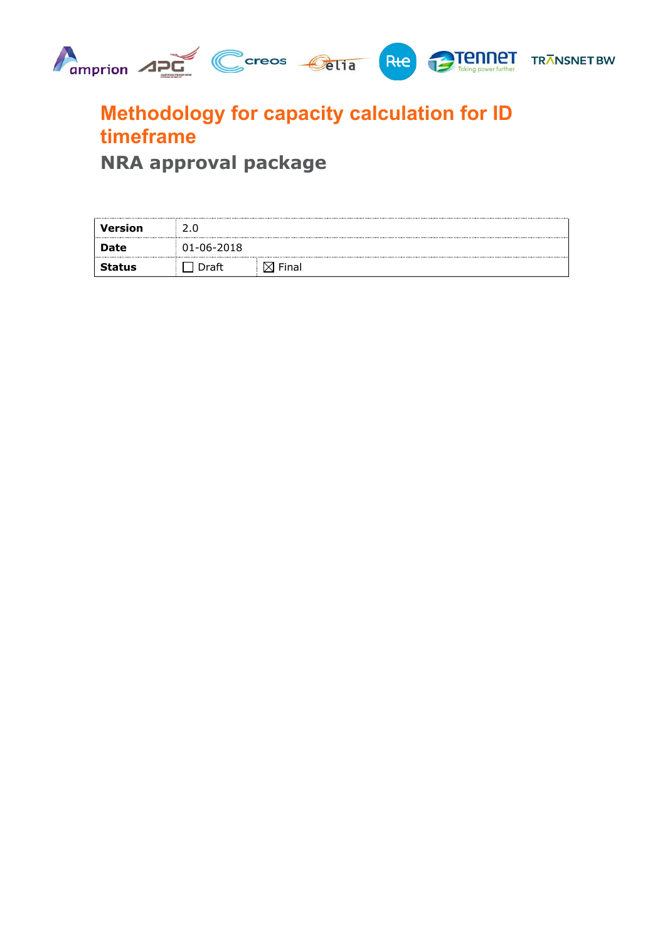

# **Methodology for capacity calculation for ID timeframe**

**NRA approval package**

| Version       |                  |       |
|---------------|------------------|-------|
| Date          | $01 - 06 - 2018$ |       |
| <b>Status</b> | )raft            | Final |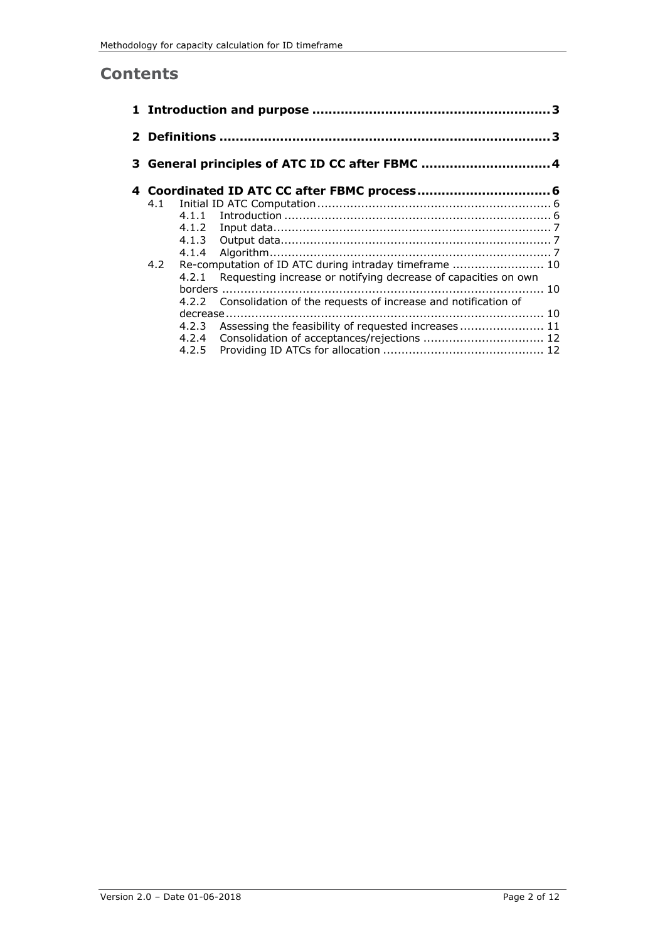### **Contents**

|            |                         | 3 General principles of ATC ID CC after FBMC 4                                                                                  |  |
|------------|-------------------------|---------------------------------------------------------------------------------------------------------------------------------|--|
| 4.1<br>4.2 | 4.1.1<br>4.2.1<br>4.2.2 | Requesting increase or notifying decrease of capacities on own<br>Consolidation of the requests of increase and notification of |  |
|            | 4.2.3<br>4.2.5          | 4.2.4 Consolidation of acceptances/rejections  12                                                                               |  |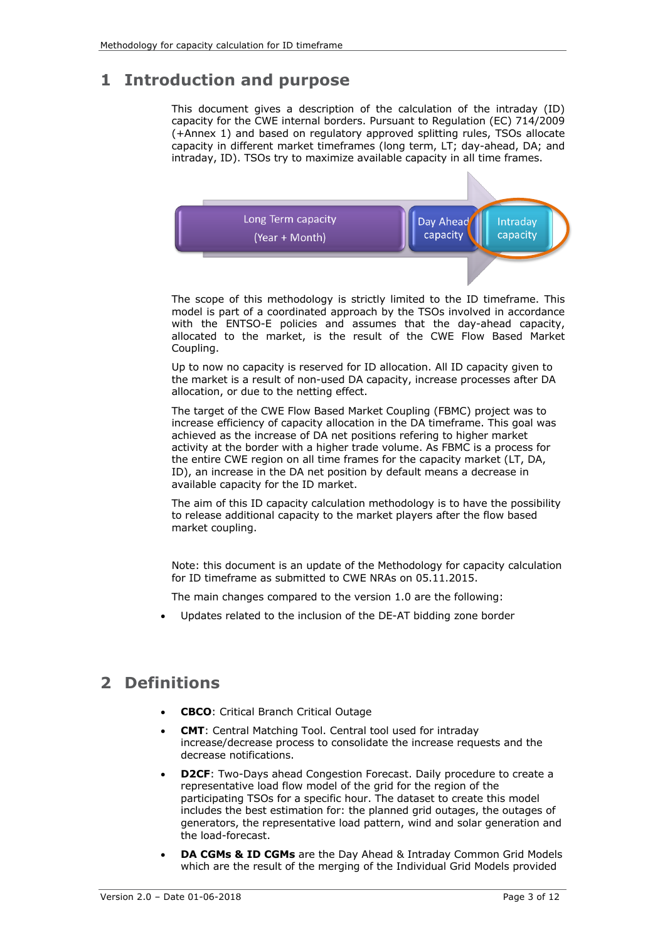# **1 Introduction and purpose**

This document gives a description of the calculation of the intraday (ID) capacity for the CWE internal borders. Pursuant to Regulation (EC) 714/2009 (+Annex 1) and based on regulatory approved splitting rules, TSOs allocate capacity in different market timeframes (long term, LT; day-ahead, DA; and intraday, ID). TSOs try to maximize available capacity in all time frames.



The scope of this methodology is strictly limited to the ID timeframe. This model is part of a coordinated approach by the TSOs involved in accordance with the ENTSO-E policies and assumes that the day-ahead capacity, allocated to the market, is the result of the CWE Flow Based Market Coupling.

Up to now no capacity is reserved for ID allocation. All ID capacity given to the market is a result of non-used DA capacity, increase processes after DA allocation, or due to the netting effect.

The target of the CWE Flow Based Market Coupling (FBMC) project was to increase efficiency of capacity allocation in the DA timeframe. This goal was achieved as the increase of DA net positions refering to higher market activity at the border with a higher trade volume. As FBMC is a process for the entire CWE region on all time frames for the capacity market (LT, DA, ID), an increase in the DA net position by default means a decrease in available capacity for the ID market.

The aim of this ID capacity calculation methodology is to have the possibility to release additional capacity to the market players after the flow based market coupling.

Note: this document is an update of the Methodology for capacity calculation for ID timeframe as submitted to CWE NRAs on 05.11.2015.

The main changes compared to the version 1.0 are the following:

• Updates related to the inclusion of the DE-AT bidding zone border

# **2 Definitions**

- **CBCO**: Critical Branch Critical Outage
- **CMT**: Central Matching Tool. Central tool used for intraday increase/decrease process to consolidate the increase requests and the decrease notifications.
- **D2CF:** Two-Days ahead Congestion Forecast. Daily procedure to create a representative load flow model of the grid for the region of the participating TSOs for a specific hour. The dataset to create this model includes the best estimation for: the planned grid outages, the outages of generators, the representative load pattern, wind and solar generation and the load-forecast.
- **DA CGMs & ID CGMs** are the Day Ahead & Intraday Common Grid Models which are the result of the merging of the Individual Grid Models provided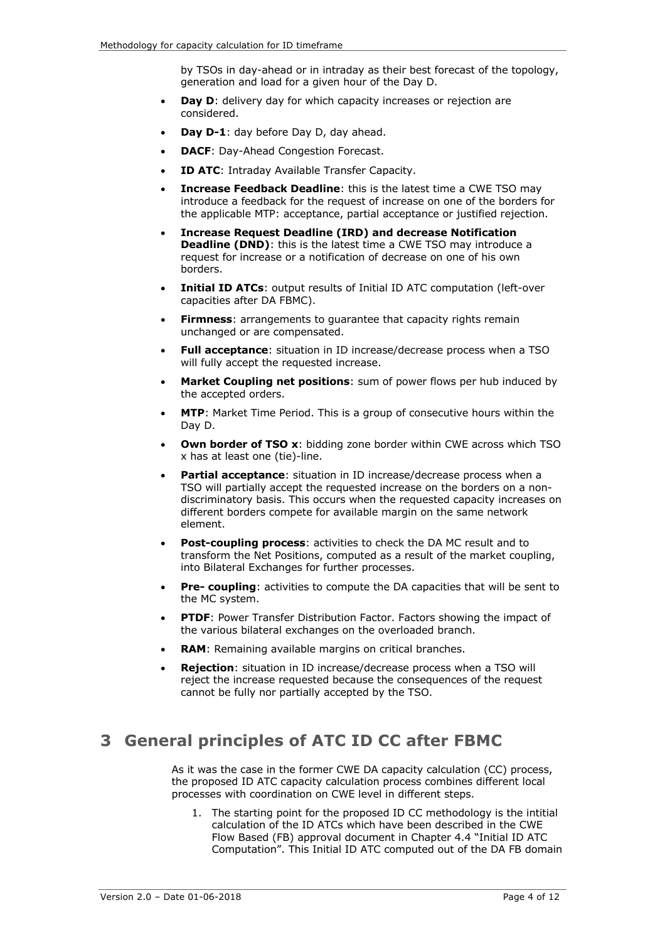by TSOs in day-ahead or in intraday as their best forecast of the topology, generation and load for a given hour of the Day D.

- **Day D:** delivery day for which capacity increases or rejection are considered.
- **Day D-1**: day before Day D, day ahead.
- **DACF:** Day-Ahead Congestion Forecast.
- **ID ATC: Intraday Available Transfer Capacity.**
- **Increase Feedback Deadline**: this is the latest time a CWE TSO may introduce a feedback for the request of increase on one of the borders for the applicable MTP: acceptance, partial acceptance or justified rejection.
- **Increase Request Deadline (IRD) and decrease Notification Deadline (DND):** this is the latest time a CWE TSO may introduce a request for increase or a notification of decrease on one of his own borders.
- **Initial ID ATCs**: output results of Initial ID ATC computation (left-over capacities after DA FBMC).
- **Firmness:** arrangements to guarantee that capacity rights remain unchanged or are compensated.
- **Full acceptance**: situation in ID increase/decrease process when a TSO will fully accept the requested increase.
- **Market Coupling net positions**: sum of power flows per hub induced by the accepted orders.
- **MTP**: Market Time Period. This is a group of consecutive hours within the Day D.
- **Own border of TSO x:** bidding zone border within CWE across which TSO x has at least one (tie)-line.
- **Partial acceptance:** situation in ID increase/decrease process when a TSO will partially accept the requested increase on the borders on a nondiscriminatory basis. This occurs when the requested capacity increases on different borders compete for available margin on the same network element.
- **Post-coupling process:** activities to check the DA MC result and to transform the Net Positions, computed as a result of the market coupling, into Bilateral Exchanges for further processes.
- **Pre- coupling**: activities to compute the DA capacities that will be sent to the MC system.
- **PTDF:** Power Transfer Distribution Factor. Factors showing the impact of the various bilateral exchanges on the overloaded branch.
- **RAM**: Remaining available margins on critical branches.
- **Rejection**: situation in ID increase/decrease process when a TSO will reject the increase requested because the consequences of the request cannot be fully nor partially accepted by the TSO.

# **3 General principles of ATC ID CC after FBMC**

As it was the case in the former CWE DA capacity calculation (CC) process, the proposed ID ATC capacity calculation process combines different local processes with coordination on CWE level in different steps.

1. The starting point for the proposed ID CC methodology is the intitial calculation of the ID ATCs which have been described in the CWE Flow Based (FB) approval document in Chapter 4.4 "Initial ID ATC Computation". This Initial ID ATC computed out of the DA FB domain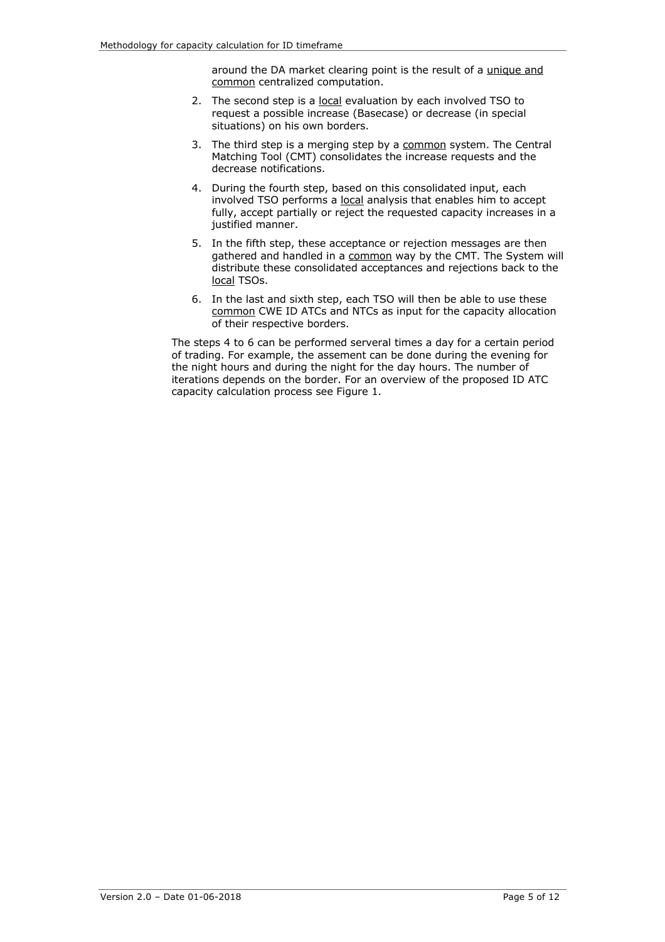around the DA market clearing point is the result of a unique and common centralized computation.

- 2. The second step is a local evaluation by each involved TSO to request a possible increase (Basecase) or decrease (in special situations) on his own borders.
- 3. The third step is a merging step by a common system. The Central Matching Tool (CMT) consolidates the increase requests and the decrease notifications.
- 4. During the fourth step, based on this consolidated input, each involved TSO performs a local analysis that enables him to accept fully, accept partially or reject the requested capacity increases in a justified manner.
- 5. In the fifth step, these acceptance or rejection messages are then gathered and handled in a common way by the CMT. The System will distribute these consolidated acceptances and rejections back to the local TSOs.
- 6. In the last and sixth step, each TSO will then be able to use these common CWE ID ATCs and NTCs as input for the capacity allocation of their respective borders.

The steps 4 to 6 can be performed serveral times a day for a certain period of trading. For example, the assement can be done during the evening for the night hours and during the night for the day hours. The number of iterations depends on the border. For an overview of the proposed ID ATC capacity calculation process see Figure 1.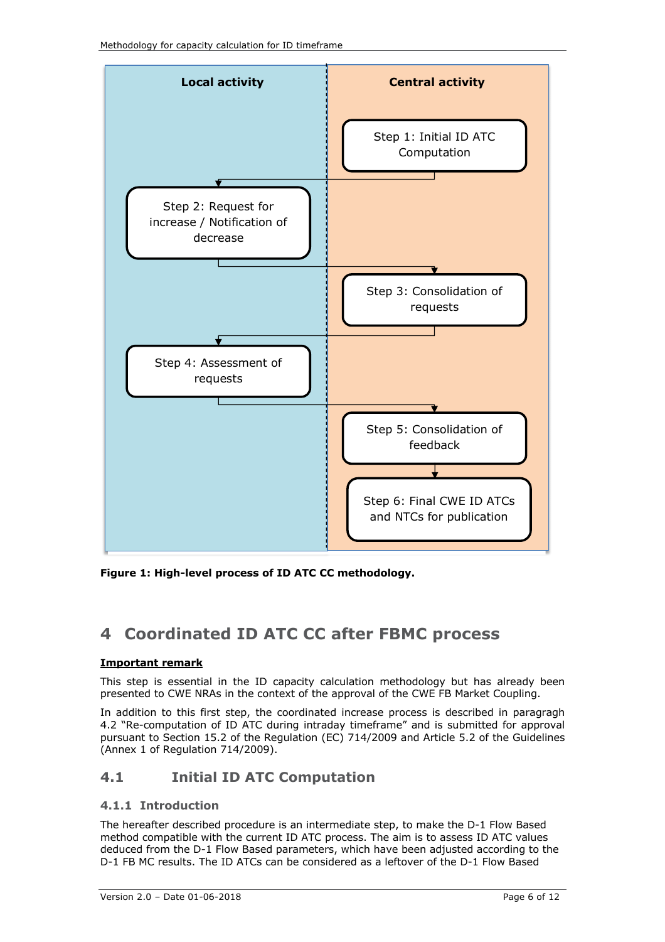

**Figure 1: High-level process of ID ATC CC methodology.**

# **4 Coordinated ID ATC CC after FBMC process**

### **Important remark**

This step is essential in the ID capacity calculation methodology but has already been presented to CWE NRAs in the context of the approval of the CWE FB Market Coupling.

In addition to this first step, the coordinated increase process is described in paragragh 4.2 "Re-computation of ID ATC during intraday timeframe" and is submitted for approval pursuant to Section 15.2 of the Regulation (EC) 714/2009 and Article 5.2 of the Guidelines (Annex 1 of Regulation 714/2009).

### **4.1 Initial ID ATC Computation**

### **4.1.1 Introduction**

The hereafter described procedure is an intermediate step, to make the D-1 Flow Based method compatible with the current ID ATC process. The aim is to assess ID ATC values deduced from the D-1 Flow Based parameters, which have been adjusted according to the D-1 FB MC results. The ID ATCs can be considered as a leftover of the D-1 Flow Based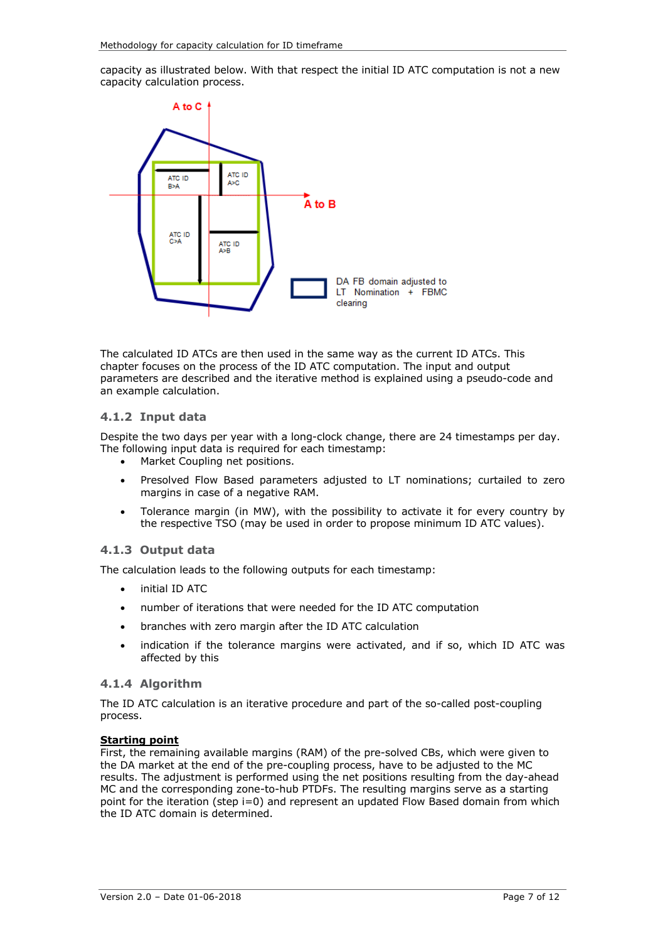capacity as illustrated below. With that respect the initial ID ATC computation is not a new capacity calculation process.



The calculated ID ATCs are then used in the same way as the current ID ATCs. This chapter focuses on the process of the ID ATC computation. The input and output parameters are described and the iterative method is explained using a pseudo-code and an example calculation.

#### **4.1.2 Input data**

Despite the two days per year with a long-clock change, there are 24 timestamps per day. The following input data is required for each timestamp:

- Market Coupling net positions.
- Presolved Flow Based parameters adjusted to LT nominations; curtailed to zero margins in case of a negative RAM.
- Tolerance margin (in MW), with the possibility to activate it for every country by the respective TSO (may be used in order to propose minimum ID ATC values).

#### **4.1.3 Output data**

The calculation leads to the following outputs for each timestamp:

- initial ID ATC
- number of iterations that were needed for the ID ATC computation
- branches with zero margin after the ID ATC calculation
- indication if the tolerance margins were activated, and if so, which ID ATC was affected by this

#### **4.1.4 Algorithm**

The ID ATC calculation is an iterative procedure and part of the so-called post-coupling process.

#### **Starting point**

First, the remaining available margins (RAM) of the pre-solved CBs, which were given to the DA market at the end of the pre-coupling process, have to be adjusted to the MC results. The adjustment is performed using the net positions resulting from the day-ahead MC and the corresponding zone-to-hub PTDFs. The resulting margins serve as a starting point for the iteration (step i=0) and represent an updated Flow Based domain from which the ID ATC domain is determined.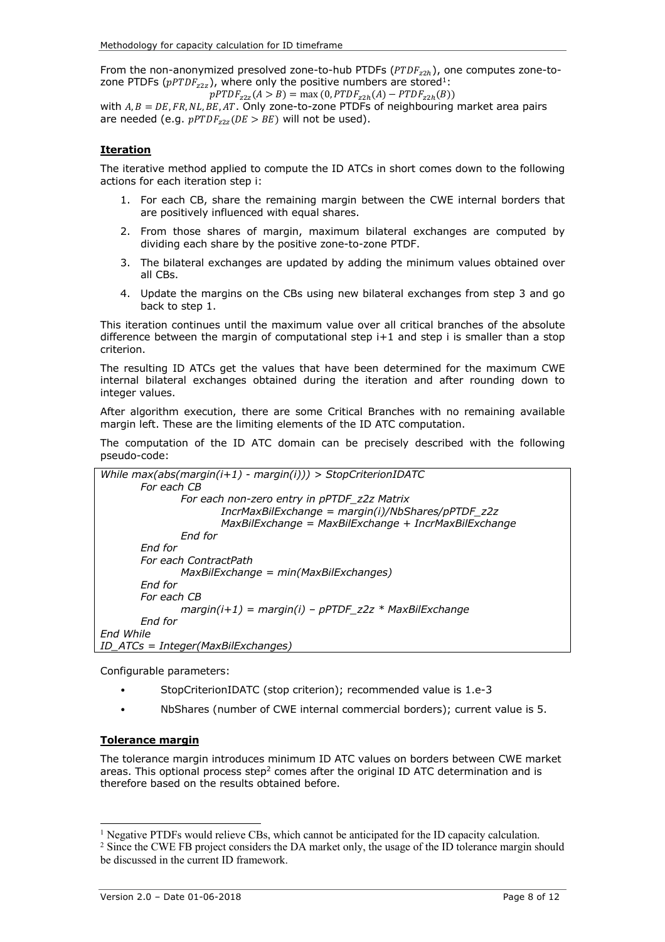From the non-anonymized presolved zone-to-hub PTDFs ( $PTDF_{z2h}$ ), one computes zone-tozone PTDFs ( $pPTDF_{z2z}$ ), where only the positive numbers are stored<sup>1</sup>:

 $pPTDF_{z2z}(A > B) = \max(0, PTDF_{z2h}(A) - PTDF_{z2h}(B))$ with  $A, B = DE, FR, NL, BE, AT$ . Only zone-to-zone PTDFs of neighbouring market area pairs are needed (e.g.  $pPTDF_{32}$  (DE > BE) will not be used).

#### **Iteration**

The iterative method applied to compute the ID ATCs in short comes down to the following actions for each iteration step i:

- 1. For each CB, share the remaining margin between the CWE internal borders that are positively influenced with equal shares.
- 2. From those shares of margin, maximum bilateral exchanges are computed by dividing each share by the positive zone-to-zone PTDF.
- 3. The bilateral exchanges are updated by adding the minimum values obtained over all CBs.
- 4. Update the margins on the CBs using new bilateral exchanges from step 3 and go back to step 1.

This iteration continues until the maximum value over all critical branches of the absolute difference between the margin of computational step  $i+1$  and step i is smaller than a stop criterion.

The resulting ID ATCs get the values that have been determined for the maximum CWE internal bilateral exchanges obtained during the iteration and after rounding down to integer values.

After algorithm execution, there are some Critical Branches with no remaining available margin left. These are the limiting elements of the ID ATC computation.

The computation of the ID ATC domain can be precisely described with the following pseudo-code:

```
While max(abs(margin(i+1) - margin(i))) > StopCriterionIDATC
       For each CB
              For each non-zero entry in pPTDF_z2z Matrix
                      IncrMaxBilExchange = margin(i)/NbShares/pPTDF_z2z
                      MaxBilExchange = MaxBilExchange + IncrMaxBilExchange
              End for
       End for
       For each ContractPath
              MaxBilExchange = min(MaxBilExchanges)
       End for
       For each CB
              margin(i+1) = margin(i) – pPTDF_z2z * MaxBilExchange
       End for
End While
ID_ATCs = Integer(MaxBilExchanges)
```
Configurable parameters:

- StopCriterionIDATC (stop criterion); recommended value is 1.e-3
- NbShares (number of CWE internal commercial borders); current value is 5.

#### **Tolerance margin**

The tolerance margin introduces minimum ID ATC values on borders between CWE market areas. This optional process step<sup>2</sup> comes after the original ID ATC determination and is therefore based on the results obtained before.

<sup>&</sup>lt;sup>1</sup> Negative PTDFs would relieve CBs, which cannot be anticipated for the ID capacity calculation.

<sup>&</sup>lt;sup>2</sup> Since the CWE FB project considers the DA market only, the usage of the ID tolerance margin should be discussed in the current ID framework.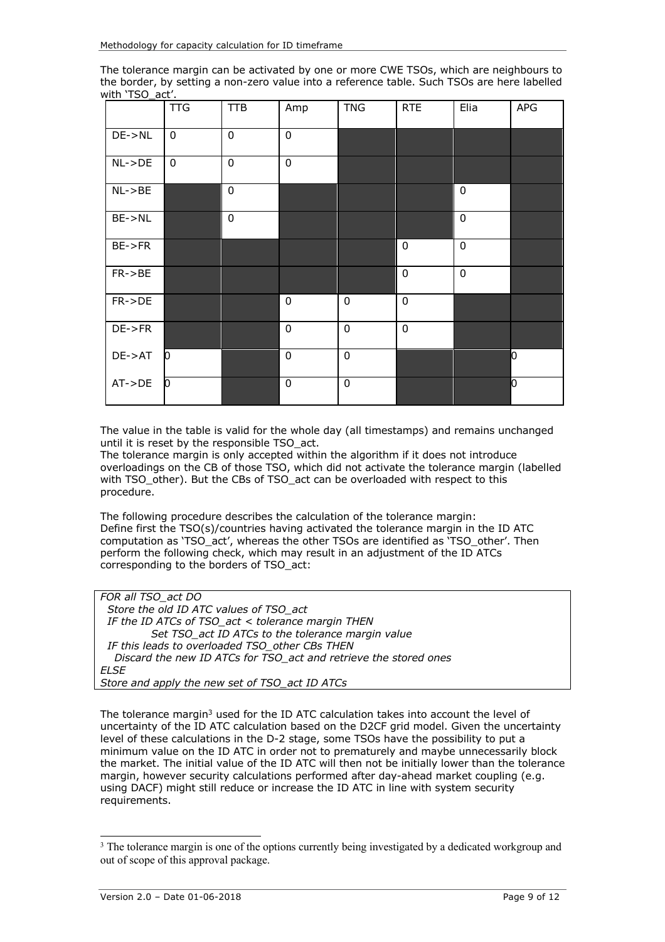The tolerance margin can be activated by one or more CWE TSOs, which are neighbours to the border, by setting a non-zero value into a reference table. Such TSOs are here labelled with 'TSO\_act'.

|              | <b>TTG</b>                | <b>TTB</b>     | Amp              | <b>TNG</b>  | <b>RTE</b>       | Elia        | APG |
|--------------|---------------------------|----------------|------------------|-------------|------------------|-------------|-----|
| $DE->NL$     | $\mathbf 0$               | $\overline{0}$ | $\overline{0}$   |             |                  |             |     |
| $NL->DE$     | $\mathbf 0$               | $\mathbf 0$    | $\mathbf 0$      |             |                  |             |     |
| $NL$ -> $BE$ |                           | $\pmb{0}$      |                  |             |                  | $\mathbf 0$ |     |
| $BE->NL$     |                           | $\mathbf 0$    |                  |             |                  | $\mathbf 0$ |     |
| $BE->FR$     |                           |                |                  |             | $\pmb{0}$        | $\mathbf 0$ |     |
| $FR->BE$     |                           |                |                  |             | $\mathbf 0$      | $\mathbf 0$ |     |
| $FR->DE$     |                           |                | $\pmb{0}$        | $\mathbf 0$ | $\pmb{0}$        |             |     |
| $DE->FR$     |                           |                | $\boldsymbol{0}$ | $\mathbf 0$ | $\boldsymbol{0}$ |             |     |
| $DE->AT$     | $\mathsf{I}^{\mathsf{I}}$ |                | $\mathbf 0$      | $\mathbf 0$ |                  |             | o   |
| $AT->DE$     | $\mathsf{I}^{\mathsf{I}}$ |                | $\pmb{0}$        | $\mathbf 0$ |                  |             | O   |

The value in the table is valid for the whole day (all timestamps) and remains unchanged until it is reset by the responsible TSO\_act.

The tolerance margin is only accepted within the algorithm if it does not introduce overloadings on the CB of those TSO, which did not activate the tolerance margin (labelled with TSO\_other). But the CBs of TSO\_act can be overloaded with respect to this procedure.

The following procedure describes the calculation of the tolerance margin: Define first the TSO(s)/countries having activated the tolerance margin in the ID ATC computation as 'TSO\_act', whereas the other TSOs are identified as 'TSO\_other'. Then perform the following check, which may result in an adjustment of the ID ATCs corresponding to the borders of TSO\_act:

| FOR all TSO act DO                                               |
|------------------------------------------------------------------|
| Store the old ID ATC values of TSO_act                           |
| IF the ID ATCs of TSO act < tolerance margin THEN                |
| Set TSO act ID ATCs to the tolerance margin value                |
| IF this leads to overloaded TSO_other CBs THEN                   |
| Discard the new ID ATCs for TSO_act and retrieve the stored ones |
| FI SF                                                            |
| Store and apply the new set of TSO_act ID ATCs                   |

The tolerance margin<sup>3</sup> used for the ID ATC calculation takes into account the level of uncertainty of the ID ATC calculation based on the D2CF grid model. Given the uncertainty level of these calculations in the D-2 stage, some TSOs have the possibility to put a minimum value on the ID ATC in order not to prematurely and maybe unnecessarily block the market. The initial value of the ID ATC will then not be initially lower than the tolerance margin, however security calculations performed after day-ahead market coupling (e.g. using DACF) might still reduce or increase the ID ATC in line with system security requirements.

<sup>&</sup>lt;sup>3</sup> The tolerance margin is one of the options currently being investigated by a dedicated workgroup and out of scope of this approval package.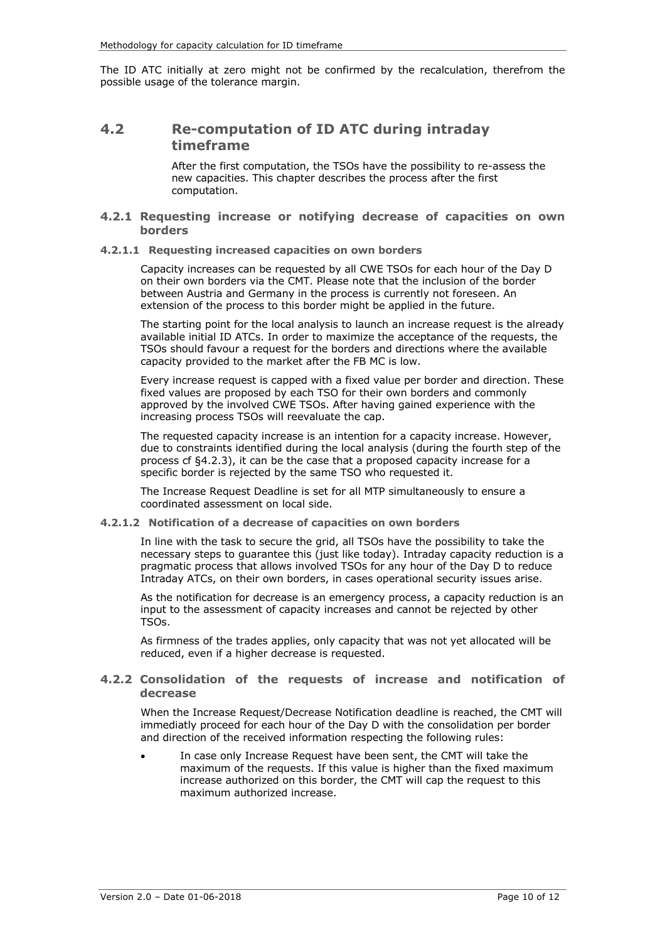The ID ATC initially at zero might not be confirmed by the recalculation, therefrom the possible usage of the tolerance margin.

### **4.2 Re-computation of ID ATC during intraday timeframe**

After the first computation, the TSOs have the possibility to re-assess the new capacities. This chapter describes the process after the first computation.

#### **4.2.1 Requesting increase or notifying decrease of capacities on own borders**

#### **4.2.1.1 Requesting increased capacities on own borders**

Capacity increases can be requested by all CWE TSOs for each hour of the Day D on their own borders via the CMT. Please note that the inclusion of the border between Austria and Germany in the process is currently not foreseen. An extension of the process to this border might be applied in the future.

The starting point for the local analysis to launch an increase request is the already available initial ID ATCs. In order to maximize the acceptance of the requests, the TSOs should favour a request for the borders and directions where the available capacity provided to the market after the FB MC is low.

Every increase request is capped with a fixed value per border and direction. These fixed values are proposed by each TSO for their own borders and commonly approved by the involved CWE TSOs. After having gained experience with the increasing process TSOs will reevaluate the cap.

The requested capacity increase is an intention for a capacity increase. However, due to constraints identified during the local analysis (during the fourth step of the process cf §4.2.3), it can be the case that a proposed capacity increase for a specific border is rejected by the same TSO who requested it.

The Increase Request Deadline is set for all MTP simultaneously to ensure a coordinated assessment on local side.

#### **4.2.1.2 Notification of a decrease of capacities on own borders**

In line with the task to secure the grid, all TSOs have the possibility to take the necessary steps to guarantee this (just like today). Intraday capacity reduction is a pragmatic process that allows involved TSOs for any hour of the Day D to reduce Intraday ATCs, on their own borders, in cases operational security issues arise.

As the notification for decrease is an emergency process, a capacity reduction is an input to the assessment of capacity increases and cannot be rejected by other TSOs.

As firmness of the trades applies, only capacity that was not yet allocated will be reduced, even if a higher decrease is requested.

#### **4.2.2 Consolidation of the requests of increase and notification of decrease**

When the Increase Request/Decrease Notification deadline is reached, the CMT will immediatly proceed for each hour of the Day D with the consolidation per border and direction of the received information respecting the following rules:

In case only Increase Request have been sent, the CMT will take the maximum of the requests. If this value is higher than the fixed maximum increase authorized on this border, the CMT will cap the request to this maximum authorized increase.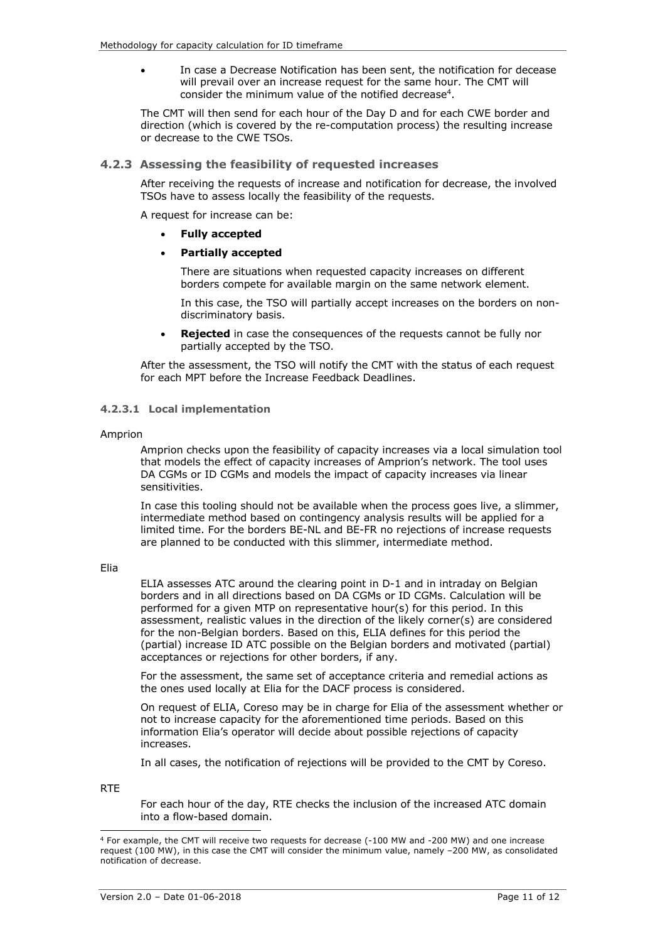In case a Decrease Notification has been sent, the notification for decease will prevail over an increase request for the same hour. The CMT will consider the minimum value of the notified decrease<sup>4</sup>.

The CMT will then send for each hour of the Day D and for each CWE border and direction (which is covered by the re-computation process) the resulting increase or decrease to the CWE TSOs.

#### **4.2.3 Assessing the feasibility of requested increases**

After receiving the requests of increase and notification for decrease, the involved TSOs have to assess locally the feasibility of the requests.

A request for increase can be:

• **Fully accepted**

#### • **Partially accepted**

There are situations when requested capacity increases on different borders compete for available margin on the same network element.

In this case, the TSO will partially accept increases on the borders on nondiscriminatory basis.

**Rejected** in case the consequences of the requests cannot be fully nor partially accepted by the TSO.

After the assessment, the TSO will notify the CMT with the status of each request for each MPT before the Increase Feedback Deadlines.

#### **4.2.3.1 Local implementation**

#### Amprion

Amprion checks upon the feasibility of capacity increases via a local simulation tool that models the effect of capacity increases of Amprion's network. The tool uses DA CGMs or ID CGMs and models the impact of capacity increases via linear sensitivities.

In case this tooling should not be available when the process goes live, a slimmer, intermediate method based on contingency analysis results will be applied for a limited time. For the borders BE-NL and BE-FR no rejections of increase requests are planned to be conducted with this slimmer, intermediate method.

Elia

ELIA assesses ATC around the clearing point in D-1 and in intraday on Belgian borders and in all directions based on DA CGMs or ID CGMs. Calculation will be performed for a given MTP on representative hour(s) for this period. In this assessment, realistic values in the direction of the likely corner(s) are considered for the non-Belgian borders. Based on this, ELIA defines for this period the (partial) increase ID ATC possible on the Belgian borders and motivated (partial) acceptances or rejections for other borders, if any.

For the assessment, the same set of acceptance criteria and remedial actions as the ones used locally at Elia for the DACF process is considered.

On request of ELIA, Coreso may be in charge for Elia of the assessment whether or not to increase capacity for the aforementioned time periods. Based on this information Elia's operator will decide about possible rejections of capacity increases.

In all cases, the notification of rejections will be provided to the CMT by Coreso.

RTE

-

For each hour of the day, RTE checks the inclusion of the increased ATC domain into a flow-based domain.

<sup>4</sup> For example, the CMT will receive two requests for decrease (-100 MW and -200 MW) and one increase request (100 MW), in this case the CMT will consider the minimum value, namely –200 MW, as consolidated notification of decrease.